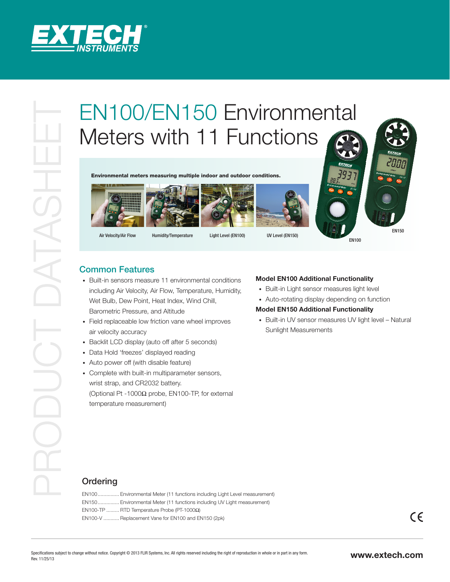

# EN100/EN150 Environmental<br>
Environmental<br>
Environmental<br>
Environmental<br>
Common Features<br>
Common Features<br>
Properties the managemental contacts<br>
Common Features<br>
Properties the start of the managemental<br>
Developmental<br>
Deve Meters with 11 Functions

Environmental meters measuring multiple indoor and outdoor conditions.









Air Velocity/Air Flow Humidity/Temperature Light Level (EN100) UV Level (EN150)

EN100

## Common Features

- Built-in sensors measure 11 environmental conditions including Air Velocity, Air Flow, Temperature, Humidity, Wet Bulb, Dew Point, Heat Index, Wind Chill, Barometric Pressure, and Altitude
- Field replaceable low friction vane wheel improves air velocity accuracy
- Backlit LCD display (auto off after 5 seconds)
- Data Hold 'freezes' displayed reading
- Auto power off (with disable feature)

• Complete with built-in multiparameter sensors, wrist strap, and CR2032 battery. (Optional Pt -1000Ω probe, EN100-TP, for external temperature measurement)

### **Model EN100 Additional Functionality**

- Built-in Light sensor measures light level
- Auto-rotating display depending on function

### **Model EN150 Additional Functionality**

• Built-in UV sensor measures UV light level - Natural Sunlight Measurements

# **Ordering**

EN100............... Environmental Meter (11 functions including Light Level measurement) EN150............... Environmental Meter (11 functions including UV Light measurement) EN100-TP ......... RTD Temperature Probe (PT-1000Ω) EN100-V ........... Replacement Vane for EN100 and EN150 (2pk)